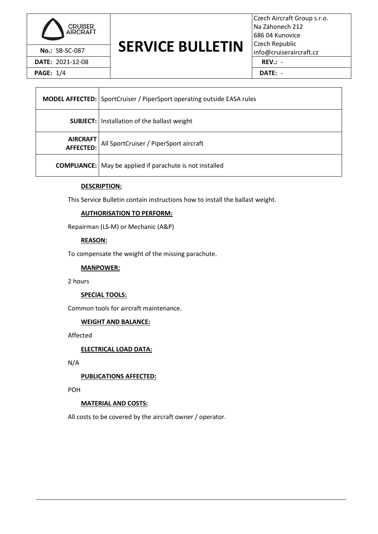

**DATE:** 2021-12-08 **REV.:** -

**PAGE:** 1/4 **DATE:** -

# **No.: SB-SC-087** SERVICE BULLETIN Czech Republic info@cruiseraircraft.cz

Czech Aircraft Group s.r.o. Na Záhonech 212 686 04 Kunovice Czech Republic

|                        | <b>MODEL AFFECTED:</b> SportCruiser / PiperSport operating outside EASA rules |
|------------------------|-------------------------------------------------------------------------------|
|                        | <b>SUBJECT:</b> Installation of the ballast weight                            |
| AIRCRAFT<br> AFFECTED: | All SportCruiser / PiperSport aircraft                                        |
|                        | <b>COMPLIANCE:</b> May be applied if parachute is not installed               |

### **DESCRIPTION:**

This Service Bulletin contain instructions how to install the ballast weight.

### **AUTHORISATION TO PERFORM:**

Repairman (LS-M) or Mechanic (A&P)

#### **REASON:**

To compensate the weight of the missing parachute.

#### **MANPOWER:**

2 hours

#### **SPECIAL TOOLS:**

Common tools for aircraft maintenance.

#### **WEIGHT AND BALANCE:**

Affected

**ELECTRICAL LOAD DATA:**

N/A

#### **PUBLICATIONS AFFECTED:**

POH

#### **MATERIAL AND COSTS:**

All costs to be covered by the aircraft owner / operator.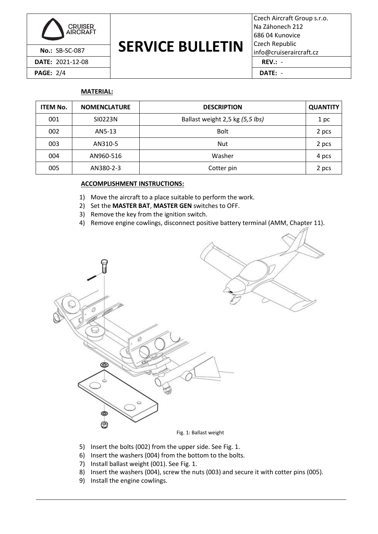

**PAGE:** 2/4 **DATE:** -

# **No.: SB-SC-087** SERVICE BULLETIN Czech Republic info@cruiseraircraft.cz

Czech Aircraft Group s.r.o. Na Záhonech 212 686 04 Kunovice Czech Republic

## **MATERIAL:**

| <b>ITEM No.</b> | <b>NOMENCLATURE</b> | <b>DESCRIPTION</b>              | <b>QUANTITY</b> |  |
|-----------------|---------------------|---------------------------------|-----------------|--|
| 001             | SI0223N             | Ballast weight 2,5 kg (5,5 lbs) | 1 pc            |  |
| 002             | AN5-13              | <b>Bolt</b>                     | 2 pcs           |  |
| 003             | AN310-5             | <b>Nut</b>                      | 2 pcs           |  |
| 004             | AN960-516           | Washer                          | 4 pcs           |  |
| 005             | AN380-2-3           | Cotter pin                      | 2 pcs           |  |

### **ACCOMPLISHMENT INSTRUCTIONS:**

- 1) Move the aircraft to a place suitable to perform the work.
- 2) Set the **MASTER BAT**, **MASTER GEN** switches to OFF.
- 3) Remove the key from the ignition switch.
- 4) Remove engine cowlings, disconnect positive battery terminal (AMM, Chapter 11).



- <span id="page-1-0"></span>5) Insert the bolts (002) from the upper side. See [Fig. 1.](#page-1-0)
- 6) Insert the washers (004) from the bottom to the bolts.
- 7) Install ballast weight (001). See [Fig. 1.](#page-1-0)
- 8) Insert the washers (004), screw the nuts (003) and secure it with cotter pins (005).
- 9) Install the engine cowlings.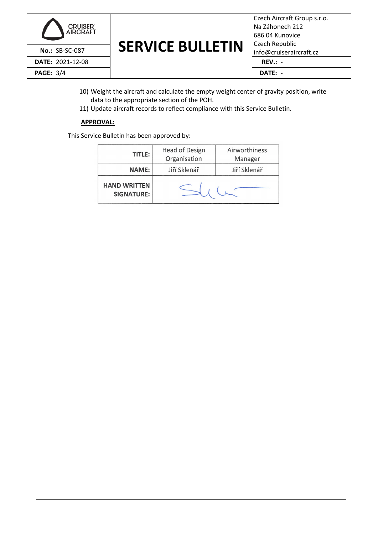

# **No.: SB-SC-087** SERVICE BULLETIN Czech Republic info@cruiseraircraft.cz

| Czech Aircraft Group s.r.o. |
|-----------------------------|
| Na Záhonech 212             |
| 686.04 Kunovice             |
| Czech Republic              |
| info@cruiseraircraft.cz     |
| $REV$ .: -                  |
| DATE: -                     |

- 10) Weight the aircraft and calculate the empty weight center of gravity position, write data to the appropriate section of the POH.
- 11) Update aircraft records to reflect compliance with this Service Bulletin.

### **APPROVAL:**

This Service Bulletin has been approved by:

| TITLE:                                   | Head of Design<br>Organisation | Airworthiness<br>Manager |
|------------------------------------------|--------------------------------|--------------------------|
| <b>NAME:</b>                             | Jiří Sklenář                   | Jiří Sklenář             |
| <b>HAND WRITTEN</b><br><b>SIGNATURE:</b> |                                |                          |